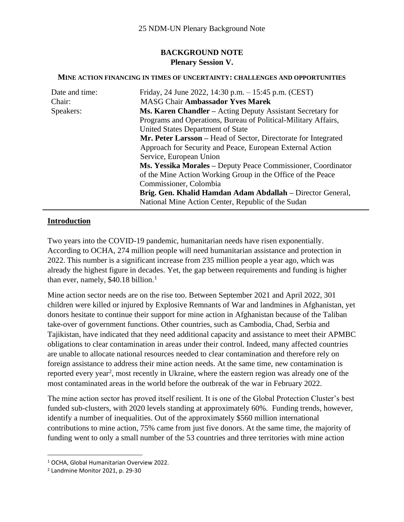# **BACKGROUND NOTE Plenary Session V.**

#### **MINE ACTION FINANCING IN TIMES OF UNCERTAINTY: CHALLENGES AND OPPORTUNITIES**

| Date and time: | Friday, 24 June 2022, 14:30 p.m. $- 15:45$ p.m. (CEST)            |
|----------------|-------------------------------------------------------------------|
| Chair:         | <b>MASG Chair Ambassador Yves Marek</b>                           |
| Speakers:      | <b>Ms. Karen Chandler</b> – Acting Deputy Assistant Secretary for |
|                | Programs and Operations, Bureau of Political-Military Affairs,    |
|                | United States Department of State                                 |
|                | Mr. Peter Larsson – Head of Sector, Directorate for Integrated    |
|                | Approach for Security and Peace, European External Action         |
|                | Service, European Union                                           |
|                | Ms. Yessika Morales - Deputy Peace Commissioner, Coordinator      |
|                | of the Mine Action Working Group in the Office of the Peace       |
|                | Commissioner, Colombia                                            |
|                | Brig. Gen. Khalid Hamdan Adam Abdallah – Director General,        |
|                | National Mine Action Center, Republic of the Sudan                |

### **Introduction**

Two years into the COVID-19 pandemic, humanitarian needs have risen exponentially. According to OCHA, 274 million people will need humanitarian assistance and protection in 2022. This number is a significant increase from 235 million people a year ago, which was already the highest figure in decades. Yet, the gap between requirements and funding is higher than ever, namely, \$40.18 billion.<sup>1</sup>

Mine action sector needs are on the rise too. Between September 2021 and April 2022, 301 children were killed or injured by Explosive Remnants of War and landmines in Afghanistan, yet donors hesitate to continue their support for mine action in Afghanistan because of the Taliban take-over of government functions. Other countries, such as Cambodia, Chad, Serbia and Tajikistan, have indicated that they need additional capacity and assistance to meet their APMBC obligations to clear contamination in areas under their control. Indeed, many affected countries are unable to allocate national resources needed to clear contamination and therefore rely on foreign assistance to address their mine action needs. At the same time, new contamination is reported every year<sup>2</sup>, most recently in Ukraine, where the eastern region was already one of the most contaminated areas in the world before the outbreak of the war in February 2022.

The mine action sector has proved itself resilient. It is one of the Global Protection Cluster's best funded sub-clusters, with 2020 levels standing at approximately 60%. Funding trends, however, identify a number of inequalities. Out of the approximately \$560 million international contributions to mine action, 75% came from just five donors. At the same time, the majority of funding went to only a small number of the 53 countries and three territories with mine action

<sup>1</sup> OCHA, Global Humanitarian Overview 2022.

<sup>2</sup> Landmine Monitor 2021, p. 29-30